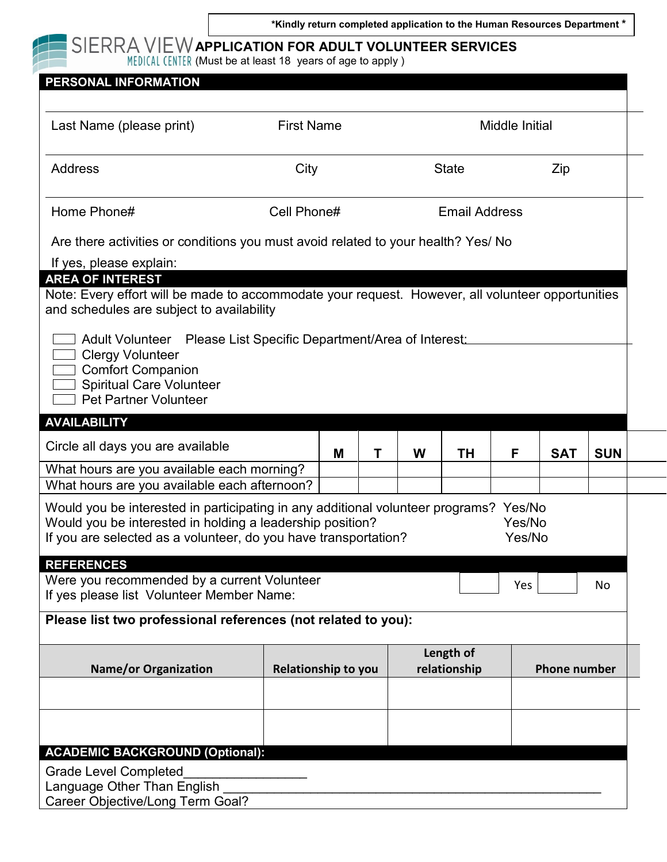**\*Kindly return completed application to the Human Resources Department \***



## **APPLICATION FOR ADULT VOLUNTEER SERVICES**

(Must be at least 18 years of age to apply )

| PERSONAL INFORMATION                                                                                                                                                                                                  |                   |                            |   |                           |                      |                |                     |            |            |
|-----------------------------------------------------------------------------------------------------------------------------------------------------------------------------------------------------------------------|-------------------|----------------------------|---|---------------------------|----------------------|----------------|---------------------|------------|------------|
| Last Name (please print)                                                                                                                                                                                              | <b>First Name</b> |                            |   |                           |                      | Middle Initial |                     |            |            |
| <b>Address</b>                                                                                                                                                                                                        | City              |                            |   |                           | <b>State</b>         |                |                     | Zip        |            |
| Home Phone#                                                                                                                                                                                                           | Cell Phone#       |                            |   |                           | <b>Email Address</b> |                |                     |            |            |
| Are there activities or conditions you must avoid related to your health? Yes/ No                                                                                                                                     |                   |                            |   |                           |                      |                |                     |            |            |
| If yes, please explain:<br><b>AREA OF INTEREST</b><br>Note: Every effort will be made to accommodate your request. However, all volunteer opportunities<br>and schedules are subject to availability                  |                   |                            |   |                           |                      |                |                     |            |            |
| Adult Volunteer Please List Specific Department/Area of Interest:<br><b>Clergy Volunteer</b><br><b>Comfort Companion</b><br><b>Spiritual Care Volunteer</b><br><b>Pet Partner Volunteer</b>                           |                   |                            |   |                           |                      |                |                     |            |            |
| <b>AVAILABILITY</b>                                                                                                                                                                                                   |                   |                            |   |                           |                      |                |                     |            |            |
| Circle all days you are available                                                                                                                                                                                     |                   | M                          | Т | W                         | <b>TH</b>            | F              |                     | <b>SAT</b> | <b>SUN</b> |
| What hours are you available each morning?                                                                                                                                                                            |                   |                            |   |                           |                      |                |                     |            |            |
| What hours are you available each afternoon?                                                                                                                                                                          |                   |                            |   |                           |                      |                |                     |            |            |
| Would you be interested in participating in any additional volunteer programs? Yes/No<br>Would you be interested in holding a leadership position?<br>If you are selected as a volunteer, do you have transportation? |                   |                            |   |                           |                      |                | Yes/No<br>Yes/No    |            |            |
| <b>REFERENCES</b>                                                                                                                                                                                                     |                   |                            |   |                           |                      |                |                     |            |            |
| Were you recommended by a current Volunteer<br>If yes please list Volunteer Member Name:                                                                                                                              |                   |                            |   |                           |                      |                | Yes                 |            | No         |
| Please list two professional references (not related to you):                                                                                                                                                         |                   |                            |   |                           |                      |                |                     |            |            |
| <b>Name/or Organization</b>                                                                                                                                                                                           |                   | <b>Relationship to you</b> |   | Length of<br>relationship |                      |                | <b>Phone number</b> |            |            |
|                                                                                                                                                                                                                       |                   |                            |   |                           |                      |                |                     |            |            |
|                                                                                                                                                                                                                       |                   |                            |   |                           |                      |                |                     |            |            |
| <b>ACADEMIC BACKGROUND (Optional):</b>                                                                                                                                                                                |                   |                            |   |                           |                      |                |                     |            |            |
| <b>Grade Level Completed</b><br>Language Other Than English                                                                                                                                                           |                   |                            |   |                           |                      |                |                     |            |            |
| Career Objective/Long Term Goal?                                                                                                                                                                                      |                   |                            |   |                           |                      |                |                     |            |            |